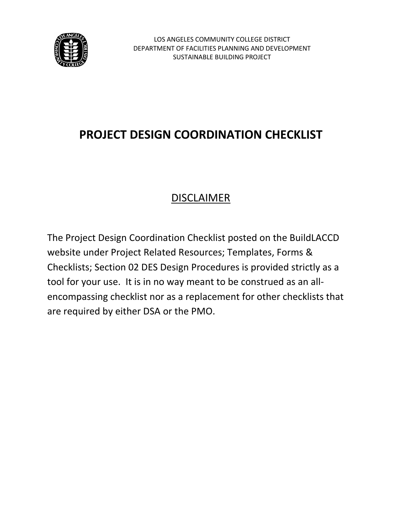

# DISCLAIMER

The Project Design Coordination Checklist posted on the BuildLACCD website under Project Related Resources; Templates, Forms & Checklists; Section 02 DES Design Procedures is provided strictly as a tool for your use. It is in no way meant to be construed as an allencompassing checklist nor as a replacement for other checklists that are required by either DSA or the PMO.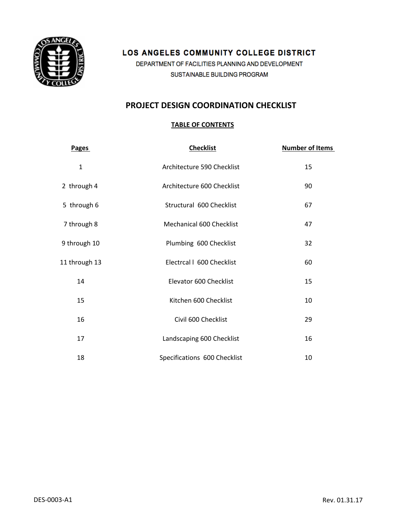

# LOS ANGELES COMMUNITY COLLEGE DISTRICT

DEPARTMENT OF FACILITIES PLANNING AND DEVELOPMENT SUSTAINABLE BUILDING PROGRAM

# **PROJECT DESIGN COORDINATION CHECKLIST**

## **TABLE OF CONTENTS**

| <b>Pages</b>  | <b>Number of Items</b>       |    |
|---------------|------------------------------|----|
| $\mathbf{1}$  | Architecture 590 Checklist   | 15 |
| 2 through 4   | Architecture 600 Checklist   | 90 |
| 5 through 6   | Structural 600 Checklist     | 67 |
| 7 through 8   | Mechanical 600 Checklist     | 47 |
| 9 through 10  | Plumbing 600 Checklist       | 32 |
| 11 through 13 | Electrcal I 600 Checklist    | 60 |
| 14            | Elevator 600 Checklist       | 15 |
| 15            | Kitchen 600 Checklist        | 10 |
| 16            | Civil 600 Checklist          | 29 |
| 17            | Landscaping 600 Checklist    | 16 |
| 18            | Specifications 600 Checklist | 10 |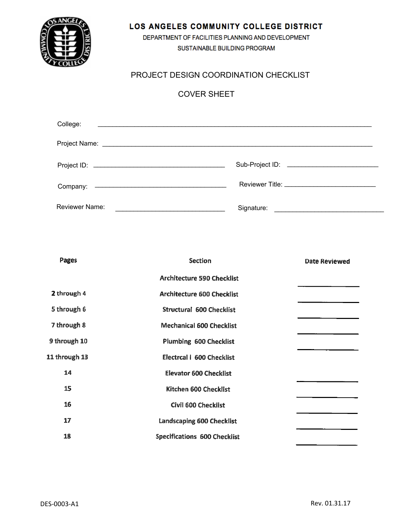

## LOS ANGELES COMMUNITY COLLEGE DISTRICT

DEPARTMENT OF FACILITIES PLANNING AND DEVELOPMENT SUSTAINABLE BUILDING PROGRAM

# PROJECT DESIGN COORDINATION CHECKLIST

# **COVER SHEET**

| College:              |                                                                                                                                                                                                                                      |
|-----------------------|--------------------------------------------------------------------------------------------------------------------------------------------------------------------------------------------------------------------------------------|
|                       |                                                                                                                                                                                                                                      |
|                       |                                                                                                                                                                                                                                      |
|                       |                                                                                                                                                                                                                                      |
| <b>Reviewer Name:</b> | Signature: <u>contract and contract and contract and contract and contract and contract and contract and contract and contract and contract and contract and contract and contract and contract and contract and contract and co</u> |

| Pages<br><b>Section</b> |                                     | <b>Date Reviewed</b> |
|-------------------------|-------------------------------------|----------------------|
|                         | <b>Architecture 590 Checklist</b>   |                      |
| 2 through 4             | <b>Architecture 600 Checklist</b>   |                      |
| 5 through 6             | <b>Structural 600 Checklist</b>     |                      |
| 7 through 8             | <b>Mechanical 600 Checklist</b>     |                      |
| 9 through 10            | <b>Plumbing 600 Checklist</b>       |                      |
| 11 through 13           | <b>Electrcal I 600 Checklist</b>    |                      |
| 14                      | <b>Elevator 600 Checklist</b>       |                      |
| 15                      | Kitchen 600 Checklist               |                      |
| 16                      | <b>Civil 600 Checklist</b>          |                      |
| 17                      | <b>Landscaping 600 Checklist</b>    |                      |
| 18                      | <b>Specifications 600 Checklist</b> |                      |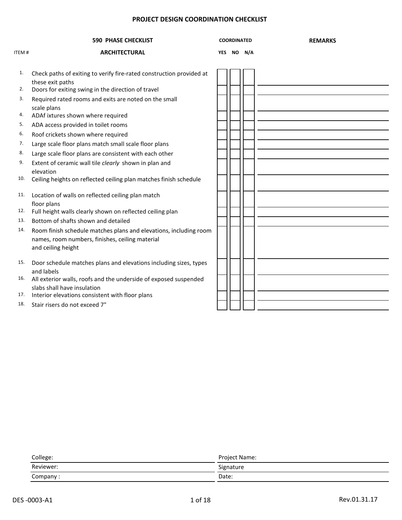|       | <b>590 PHASE CHECKLIST</b>                                                                                                                 | <b>COORDINATED</b> |            | <b>REMARKS</b> |
|-------|--------------------------------------------------------------------------------------------------------------------------------------------|--------------------|------------|----------------|
| ITEM# | <b>ARCHITECTURAL</b>                                                                                                                       |                    | YES NO N/A |                |
| 1.    | Check paths of exiting to verify fire-rated construction provided at<br>these exit paths                                                   |                    |            |                |
| 2.    | Doors for exiting swing in the direction of travel                                                                                         |                    |            |                |
| 3.    | Required rated rooms and exits are noted on the small<br>scale plans                                                                       |                    |            |                |
| 4.    | ADAf ixtures shown where required                                                                                                          |                    |            |                |
| 5.    | ADA access provided in toilet rooms                                                                                                        |                    |            |                |
| 6.    | Roof crickets shown where required                                                                                                         |                    |            |                |
| 7.    | Large scale floor plans match small scale floor plans                                                                                      |                    |            |                |
| 8.    | Large scale floor plans are consistent with each other                                                                                     |                    |            |                |
| 9.    | Extent of ceramic wall tile clearly shown in plan and<br>elevation                                                                         |                    |            |                |
| 10.   | Ceiling heights on reflected ceiling plan matches finish schedule                                                                          |                    |            |                |
| 11.   | Location of walls on reflected ceiling plan match<br>floor plans                                                                           |                    |            |                |
| 12.   | Full height walls clearly shown on reflected ceiling plan                                                                                  |                    |            |                |
| 13.   | Bottom of shafts shown and detailed                                                                                                        |                    |            |                |
| 14.   | Room finish schedule matches plans and elevations, including room<br>names, room numbers, finishes, ceiling material<br>and ceiling height |                    |            |                |
| 15.   | Door schedule matches plans and elevations including sizes, types<br>and labels                                                            |                    |            |                |
| 16.   | All exterior walls, roofs and the underside of exposed suspended<br>slabs shall have insulation                                            |                    |            |                |
| 17.   | Interior elevations consistent with floor plans                                                                                            |                    |            |                |
| 18.   | Stair risers do not exceed 7"                                                                                                              |                    |            |                |

| College:  | Project Name: |  |  |  |  |
|-----------|---------------|--|--|--|--|
| Reviewer: | Signature     |  |  |  |  |
| Company:  | Date:         |  |  |  |  |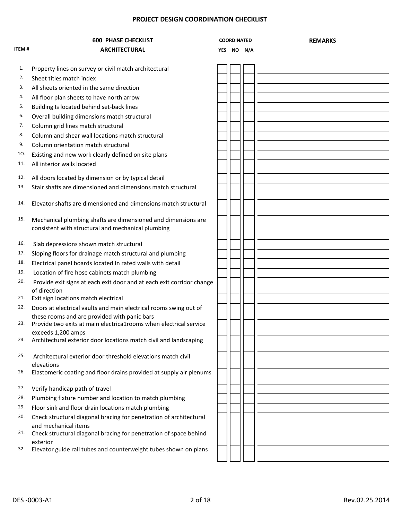|              | <b>600 PHASE CHECKLIST</b>                                                                                          | <b>COORDINATED</b> |            | <b>REMARKS</b> |
|--------------|---------------------------------------------------------------------------------------------------------------------|--------------------|------------|----------------|
| <b>ITEM#</b> | <b>ARCHITECTURAL</b>                                                                                                |                    | YES NO N/A |                |
| 1.           |                                                                                                                     |                    |            |                |
| 2.           | Property lines on survey or civil match architectural                                                               |                    |            |                |
| 3.           | Sheet titles match index                                                                                            |                    |            |                |
|              | All sheets oriented in the same direction                                                                           |                    |            |                |
| 4.<br>5.     | All floor plan sheets to have north arrow                                                                           |                    |            |                |
| 6.           | Building Is located behind set-back lines                                                                           |                    |            |                |
|              | Overall building dimensions match structural                                                                        |                    |            |                |
| 7.           | Column grid lines match structural                                                                                  |                    |            |                |
| 8.           | Column and shear wall locations match structural                                                                    |                    |            |                |
| 9.           | Column orientation match structural                                                                                 |                    |            |                |
| 10.          | Existing and new work clearly defined on site plans                                                                 |                    |            |                |
| 11.          | All interior walls located                                                                                          |                    |            |                |
| 12.          | All doors located by dimension or by typical detail                                                                 |                    |            |                |
| 13.          | Stair shafts are dimensioned and dimensions match structural                                                        |                    |            |                |
| 14.          | Elevator shafts are dimensioned and dimensions match structural                                                     |                    |            |                |
| 15.          | Mechanical plumbing shafts are dimensioned and dimensions are<br>consistent with structural and mechanical plumbing |                    |            |                |
| 16.          | Slab depressions shown match structural                                                                             |                    |            |                |
| 17.          | Sloping floors for drainage match structural and plumbing                                                           |                    |            |                |
| 18.          | Electrical panel boards located In rated walls with detail                                                          |                    |            |                |
| 19.          | Location of fire hose cabinets match plumbing                                                                       |                    |            |                |
| 20.          | Provide exit signs at each exit door and at each exit corridor change<br>of direction                               |                    |            |                |
| 21.          | Exit sign locations match electrical                                                                                |                    |            |                |
| 22.          | Doors at electrical vaults and main electrical rooms swing out of                                                   |                    |            |                |
| 23.          | these rooms and are provided with panic bars<br>Provide two exits at main electrica1rooms when electrical service   |                    |            |                |
| 24.          | exceeds 1,200 amps<br>Architectural exterior door locations match civil and landscaping                             |                    |            |                |
| 25.          | Architectural exterior door threshold elevations match civil                                                        |                    |            |                |
| 26.          | elevations<br>Elastomeric coating and floor drains provided at supply air plenums                                   |                    |            |                |
| 27.          | Verify handicap path of travel                                                                                      |                    |            |                |
| 28.          | Plumbing fixture number and location to match plumbing                                                              |                    |            |                |
| 29.          | Floor sink and floor drain locations match plumbing                                                                 |                    |            |                |
| 30.          | Check structural diagonal bracing for penetration of architectural<br>and mechanical items                          |                    |            |                |
| 31.          | Check structural diagonal bracing for penetration of space behind                                                   |                    |            |                |
| 32.          | exterior<br>Elevator guide rail tubes and counterweight tubes shown on plans                                        |                    |            |                |
|              |                                                                                                                     |                    |            |                |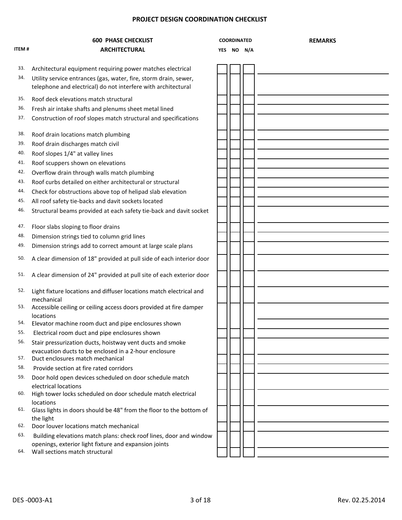|              | <b>600 PHASE CHECKLIST</b>                                                           | <b>COORDINATED</b> |            | <b>REMARKS</b> |
|--------------|--------------------------------------------------------------------------------------|--------------------|------------|----------------|
| <b>ITEM#</b> | <b>ARCHITECTURAL</b>                                                                 |                    | YES NO N/A |                |
| 33.          | Architectural equipment requiring power matches electrical                           |                    |            |                |
| 34.          | Utility service entrances (gas, water, fire, storm drain, sewer,                     |                    |            |                |
|              | telephone and electrical) do not interfere with architectural                        |                    |            |                |
| 35.          | Roof deck elevations match structural                                                |                    |            |                |
| 36.          | Fresh air intake shafts and plenums sheet metal lined                                |                    |            |                |
| 37.          | Construction of roof slopes match structural and specifications                      |                    |            |                |
| 38.          | Roof drain locations match plumbing                                                  |                    |            |                |
| 39.          | Roof drain discharges match civil                                                    |                    |            |                |
| 40.          | Roof slopes 1/4" at valley lines                                                     |                    |            |                |
| 41.          | Roof scuppers shown on elevations                                                    |                    |            |                |
| 42.          | Overflow drain through walls match plumbing                                          |                    |            |                |
| 43.          | Roof curbs detailed on either architectural or structural                            |                    |            |                |
| 44.          | Check for obstructions above top of helipad slab elevation                           |                    |            |                |
| 45.          | All roof safety tie-backs and davit sockets located                                  |                    |            |                |
| 46.          | Structural beams provided at each safety tie-back and davit socket                   |                    |            |                |
| 47.          | Floor slabs sloping to floor drains                                                  |                    |            |                |
| 48.          | Dimension strings tied to column grid lines                                          |                    |            |                |
| 49.          | Dimension strings add to correct amount at large scale plans                         |                    |            |                |
| 50.          | A clear dimension of 18" provided at pull side of each interior door                 |                    |            |                |
| 51.          | A clear dimension of 24" provided at pull site of each exterior door                 |                    |            |                |
| 52.          | Light fixture locations and diffuser locations match electrical and                  |                    |            |                |
| 53.          | mechanical<br>Accessible ceiling or ceiling access doors provided at fire damper     |                    |            |                |
| 54.          | locations<br>Elevator machine room duct and pipe enclosures shown                    |                    |            |                |
| 55.          | Electrical room duct and pipe enclosures shown                                       |                    |            |                |
| 56.          | Stair pressurization ducts, hoistway vent ducts and smoke                            |                    |            |                |
|              | evacuation ducts to be enclosed in a 2-hour enclosure                                |                    |            |                |
| 57.          | Duct enclosures match mechanical                                                     |                    |            |                |
| 58.          | Provide section at fire rated corridors                                              |                    |            |                |
| 59.          | Door hold open devices scheduled on door schedule match                              |                    |            |                |
| 60.          | electrical locations<br>High tower locks scheduled on door schedule match electrical |                    |            |                |
|              | locations                                                                            |                    |            |                |
| 61.          | Glass lights in doors should be 48" from the floor to the bottom of                  |                    |            |                |
| 62.          | the light<br>Door louver locations match mechanical                                  |                    |            |                |
| 63.          | Building elevations match plans: check roof lines, door and window                   |                    |            |                |
|              | openings, exterior light fixture and expansion joints                                |                    |            |                |
| 64.          | Wall sections match structural                                                       |                    |            |                |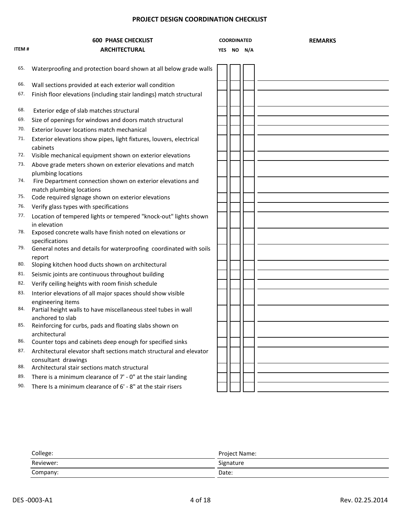|       | <b>600 PHASE CHECKLIST</b>                                                              | <b>COORDINATED</b> | <b>REMARKS</b> |
|-------|-----------------------------------------------------------------------------------------|--------------------|----------------|
| ITEM# | <b>ARCHITECTURAL</b>                                                                    | YES NO N/A         |                |
| 65.   | Waterproofing and protection board shown at all below grade walls                       |                    |                |
| 66.   | Wall sections provided at each exterior wall condition                                  |                    |                |
| 67.   | Finish floor elevations (including stair landings) match structural                     |                    |                |
| 68.   | Exterior edge of slab matches structural                                                |                    |                |
| 69.   | Size of openings for windows and doors match structural                                 |                    |                |
| 70.   | Exterior louver locations match mechanical                                              |                    |                |
| 71.   | Exterior elevations show pipes, light fixtures, louvers, electrical<br>cabinets         |                    |                |
| 72.   | Visible mechanical equipment shown on exterior elevations                               |                    |                |
| 73.   | Above grade meters shown on exterior elevations and match<br>plumbing locations         |                    |                |
| 74.   | Fire Department connection shown on exterior elevations and<br>match plumbing locations |                    |                |
| 75.   | Code required signage shown on exterior elevations                                      |                    |                |
| 76.   | Verify glass types with specifications                                                  |                    |                |
| 77.   | Location of tempered lights or tempered "knock-out" lights shown<br>in elevation        |                    |                |
| 78.   | Exposed concrete walls have finish noted on elevations or<br>specifications             |                    |                |
| 79.   | General notes and details for waterproofing coordinated with soils                      |                    |                |
| 80.   | report<br>Sloping kitchen hood ducts shown on architectural                             |                    |                |
| 81.   | Seismic joints are continuous throughout building                                       |                    |                |
| 82.   | Verify ceiling heights with room finish schedule                                        |                    |                |
| 83.   | Interior elevations of all major spaces should show visible<br>engineering items        |                    |                |
| 84.   | Partial height walls to have miscellaneous steel tubes in wall<br>anchored to slab      |                    |                |
| 85.   | Reinforcing for curbs, pads and floating slabs shown on<br>architectural                |                    |                |
| 86.   | Counter tops and cabinets deep enough for specified sinks                               |                    |                |
| 87.   | Architectural elevator shaft sections match structural and elevator                     |                    |                |
| 88.   | consultant drawings<br>Architectural stair sections match structural                    |                    |                |
| 89.   | There is a minimum clearance of 7' - 0" at the stair landing                            |                    |                |
| 90.   | There Is a minimum clearance of 6' - 8" at the stair risers                             |                    |                |
|       |                                                                                         |                    |                |

| College:  | Project Name: |  |  |  |  |
|-----------|---------------|--|--|--|--|
| Reviewer: | Signature     |  |  |  |  |
| Company:  | Date:         |  |  |  |  |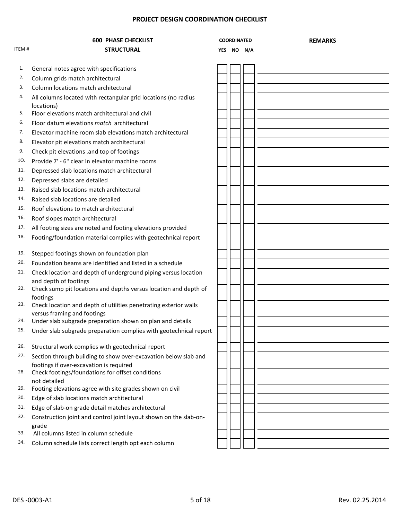|       | <b>600 PHASE CHECKLIST</b>                                                                                 |            | <b>COORDINATED</b> | <b>REMARKS</b> |
|-------|------------------------------------------------------------------------------------------------------------|------------|--------------------|----------------|
| ITEM# | <b>STRUCTURAL</b>                                                                                          | <b>YES</b> | NO N/A             |                |
|       |                                                                                                            |            |                    |                |
| 1.    | General notes agree with specifications                                                                    |            |                    |                |
| 2.    | Column grids match architectural                                                                           |            |                    |                |
| 3.    | Column locations match architectural                                                                       |            |                    |                |
| 4.    | All columns located with rectangular grid locations (no radius<br>locations)                               |            |                    |                |
| 5.    | Floor elevations match architectural and civil                                                             |            |                    |                |
| 6.    | Floor datum elevations match architectural                                                                 |            |                    |                |
| 7.    | Elevator machine room slab elevations match architectural                                                  |            |                    |                |
| 8.    | Elevator pit elevations match architectural                                                                |            |                    |                |
| 9.    | Check pit elevations .and top of footings                                                                  |            |                    |                |
| 10.   | Provide 7' - 6" clear In elevator machine rooms                                                            |            |                    |                |
| 11.   | Depressed slab locations match architectural                                                               |            |                    |                |
| 12.   | Depressed slabs are detailed                                                                               |            |                    |                |
| 13.   | Raised slab locations match architectural                                                                  |            |                    |                |
| 14.   | Raised slab locations are detailed                                                                         |            |                    |                |
| 15.   | Roof elevations to match architectural                                                                     |            |                    |                |
| 16.   | Roof slopes match architectural                                                                            |            |                    |                |
| 17.   | All footing sizes are noted and footing elevations provided                                                |            |                    |                |
| 18.   | Footing/foundation material complies with geotechnical report                                              |            |                    |                |
|       |                                                                                                            |            |                    |                |
| 19.   | Stepped footings shown on foundation plan                                                                  |            |                    |                |
| 20.   | Foundation beams are identified and listed in a schedule                                                   |            |                    |                |
| 21.   | Check location and depth of underground piping versus location                                             |            |                    |                |
| 22.   | and depth of footings<br>Check sump pit locations and depths versus location and depth of                  |            |                    |                |
| 23.   | footings<br>Check location and depth of utilities penetrating exterior walls                               |            |                    |                |
| 24.   | versus framing and footings                                                                                |            |                    |                |
| 25.   | Under slab subgrade preparation shown on plan and details                                                  |            |                    |                |
|       | Under slab subgrade preparation complies with geotechnical report                                          |            |                    |                |
| 26.   | Structural work complies with geotechnical report                                                          |            |                    |                |
| 27.   | Section through building to show over-excavation below slab and<br>footings if over-excavation is required |            |                    |                |
| 28.   | Check footings/foundations for offset conditions<br>not detailed                                           |            |                    |                |
| 29.   | Footing elevations agree with site grades shown on civil                                                   |            |                    |                |
| 30.   | Edge of slab locations match architectural                                                                 |            |                    |                |
| 31.   | Edge of slab-on grade detail matches architectural                                                         |            |                    |                |
| 32.   | Construction joint and control joint layout shown on the slab-on-<br>grade                                 |            |                    |                |
| 33.   | All columns listed in column schedule                                                                      |            |                    |                |
| 34.   | Column schedule lists correct length opt each column                                                       |            |                    |                |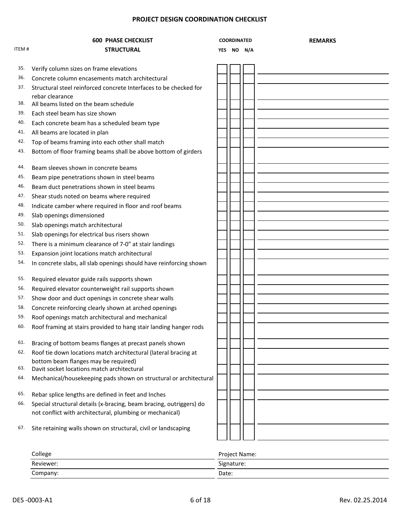|       | <b>600 PHASE CHECKLIST</b>                                                                                                      | <b>COORDINATED</b> | <b>REMARKS</b> |
|-------|---------------------------------------------------------------------------------------------------------------------------------|--------------------|----------------|
| ITEM# | <b>STRUCTURAL</b>                                                                                                               | YES NO N/A         |                |
|       |                                                                                                                                 |                    |                |
| 35.   | Verify column sizes on frame elevations                                                                                         |                    |                |
| 36.   | Concrete column encasements match architectural                                                                                 |                    |                |
| 37.   | Structural steel reinforced concrete Interfaces to be checked for                                                               |                    |                |
| 38.   | rebar clearance                                                                                                                 |                    |                |
| 39.   | All beams listed on the beam schedule<br>Each steel beam has size shown                                                         |                    |                |
| 40.   | Each concrete beam has a scheduled beam type                                                                                    |                    |                |
| 41.   | All beams are located in plan                                                                                                   |                    |                |
| 42.   |                                                                                                                                 |                    |                |
| 43.   | Top of beams framing into each other shall match                                                                                |                    |                |
|       | Bottom of floor framing beams shall be above bottom of girders                                                                  |                    |                |
| 44.   | Beam sleeves shown in concrete beams                                                                                            |                    |                |
| 45.   | Beam pipe penetrations shown in steel beams                                                                                     |                    |                |
| 46.   | Beam duct penetrations shown in steel beams                                                                                     |                    |                |
| 47.   | Shear studs noted on beams where required                                                                                       |                    |                |
| 48.   | Indicate camber where required in floor and roof beams                                                                          |                    |                |
| 49.   | Slab openings dimensioned                                                                                                       |                    |                |
| 50.   | Slab openings match architectural                                                                                               |                    |                |
| 51.   | Slab openings for electrical bus risers shown                                                                                   |                    |                |
| 52.   | There is a minimum clearance of 7-0" at stair landings                                                                          |                    |                |
| 53.   | Expansion joint locations match architectural                                                                                   |                    |                |
| 54.   | In concrete slabs, all slab openings should have reinforcing shown                                                              |                    |                |
|       |                                                                                                                                 |                    |                |
| 55.   | Required elevator guide rails supports shown                                                                                    |                    |                |
| 56.   | Required elevator counterweight rail supports shown                                                                             |                    |                |
| 57.   | Show door and duct openings in concrete shear walls                                                                             |                    |                |
| 58.   | Concrete reinforcing clearly shown at arched openings                                                                           |                    |                |
| 59.   | Roof openings match architectural and mechanical                                                                                |                    |                |
| 60.   | Roof framing at stairs provided to hang stair landing hanger rods                                                               |                    |                |
| 61.   | Bracing of bottom beams flanges at precast panels shown                                                                         |                    |                |
| 62.   | Roof tie down locations match architectural (lateral bracing at                                                                 |                    |                |
|       | bottom beam flanges may be required)                                                                                            |                    |                |
| 63.   | Davit socket locations match architectural                                                                                      |                    |                |
| 64.   | Mechanical/housekeeping pads shown on structural or architectural                                                               |                    |                |
| 65.   |                                                                                                                                 |                    |                |
| 66.   | Rebar splice lengths are defined in feet and Inches                                                                             |                    |                |
|       | Special structural details (x-bracing, beam bracing, outriggers) do<br>not conflict with architectural, plumbing or mechanical) |                    |                |
|       |                                                                                                                                 |                    |                |
| 67.   | Site retaining walls shown on structural, civil or landscaping                                                                  |                    |                |
|       |                                                                                                                                 |                    |                |
|       |                                                                                                                                 |                    |                |
|       | مودالوه                                                                                                                         | Droiaet Name       |                |

| College   | Project Name:    |  |  |  |  |
|-----------|------------------|--|--|--|--|
| Reviewer: | --<br>Signature: |  |  |  |  |
| Company:  | Date:            |  |  |  |  |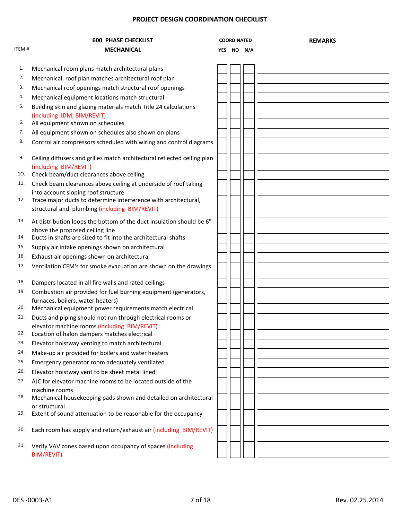|       | <b>600 PHASE CHECKLIST</b>                                                                             | <b>COORDINATED</b> |  |  | <b>REMARKS</b> |
|-------|--------------------------------------------------------------------------------------------------------|--------------------|--|--|----------------|
| ITEM# | <b>MECHANICAL</b>                                                                                      | YES NO N/A         |  |  |                |
|       |                                                                                                        |                    |  |  |                |
| 1.    | Mechanical room plans match architectural plans                                                        |                    |  |  |                |
| 2.    | Mechanical roof plan matches architectural roof plan                                                   |                    |  |  |                |
| 3.    | Mechanical roof openings match structural roof openings                                                |                    |  |  |                |
| 4.    | Mechanical equipment locations match structural                                                        |                    |  |  |                |
| 5.    | Building skin and glazing materials match Title 24 calculations<br>(including IDM, BIM/REVIT)          |                    |  |  |                |
| 6.    | All equipment shown on schedules                                                                       |                    |  |  |                |
| 7.    | All equipment shown on schedules also shown on plans                                                   |                    |  |  |                |
| 8.    | Control air compressors scheduled with wiring and control diagrams                                     |                    |  |  |                |
| 9.    | Ceiling diffusers and grilles match architectural reflected ceiling plan<br>(including BIM/REVIT)      |                    |  |  |                |
| 10.   | Check beam/duct clearances above ceiling                                                               |                    |  |  |                |
| 11.   | Check beam clearances above ceiling at underside of roof taking                                        |                    |  |  |                |
| 12.   | into account sloping roof structure<br>Trace major ducts to determine interference with architectural, |                    |  |  |                |
|       | structural and plumbing (including BIM/REVIT)                                                          |                    |  |  |                |
| 13.   | At distribution loops the bottom of the duct insulation should be 6"                                   |                    |  |  |                |
| 14.   | above the proposed ceiling line<br>Ducts in shafts are sized to fit into the architectural shafts      |                    |  |  |                |
| 15.   | Supply air intake openings shown on architectural                                                      |                    |  |  |                |
| 16.   | Exhaust air openings shown on architectural                                                            |                    |  |  |                |
| 17.   | Ventilation CFM's for smoke evacuation are shown on the drawings                                       |                    |  |  |                |
|       |                                                                                                        |                    |  |  |                |
| 18.   | Dampers located in all fire walls and rated ceilings                                                   |                    |  |  |                |
| 19.   | Combustion air provided for fuel burning equipment (generators,                                        |                    |  |  |                |
|       | furnaces, boilers, water heaters)                                                                      |                    |  |  |                |
| 20.   | Mechanical equipment power requirements match electrical                                               |                    |  |  |                |
| 21.   | Ducts and piping should not run through electrical rooms or                                            |                    |  |  |                |
| 22.   | elevator machine rooms (including BIM/REVIT)<br>Location of halon dampers matches electrical           |                    |  |  |                |
| 23.   | Elevator hoistway venting to match architectural                                                       |                    |  |  |                |
| 24.   | Make-up air provided for boilers and water heaters                                                     |                    |  |  |                |
| 25.   | Emergency generator room adequately ventilated                                                         |                    |  |  |                |
| 26.   | Elevator hoistway vent to be sheet metal lined                                                         |                    |  |  |                |
| 27.   | AJC for elevator machine rooms to be located outside of the                                            |                    |  |  |                |
| 28.   | machine rooms                                                                                          |                    |  |  |                |
|       | Mechanical housekeeping pads shown and detailed on architectural<br>or structural                      |                    |  |  |                |
| 29.   | Extent of sound attenuation to be reasonable for the occupancy                                         |                    |  |  |                |
| 30.   | Each room has supply and return/exhaust air (including BIM/REVIT)                                      |                    |  |  |                |
| 31.   | Verify VAV zones based upon occupancy of spaces (including<br><b>BIM/REVIT)</b>                        |                    |  |  |                |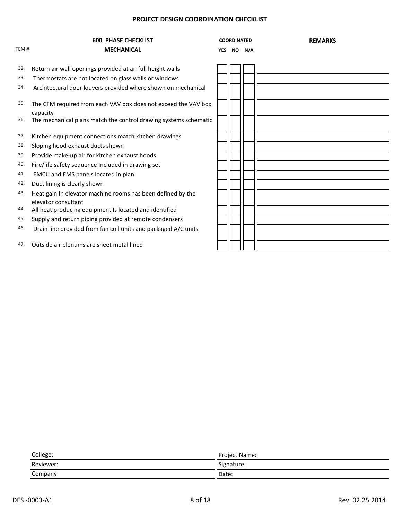|              | <b>600 PHASE CHECKLIST</b>                                                         | <b>COORDINATED</b> |        |  | <b>REMARKS</b> |
|--------------|------------------------------------------------------------------------------------|--------------------|--------|--|----------------|
| <b>ITEM#</b> | <b>MECHANICAL</b>                                                                  | <b>YES</b>         | NO N/A |  |                |
| 32.          | Return air wall openings provided at an full height walls                          |                    |        |  |                |
| 33.          | Thermostats are not located on glass walls or windows                              |                    |        |  |                |
| 34.          | Architectural door louvers provided where shown on mechanical                      |                    |        |  |                |
| 35.          | The CFM required from each VAV box does not exceed the VAV box<br>capacity         |                    |        |  |                |
| 36.          | The mechanical plans match the control drawing systems schematic                   |                    |        |  |                |
| 37.          | Kitchen equipment connections match kitchen drawings                               |                    |        |  |                |
| 38.          | Sloping hood exhaust ducts shown                                                   |                    |        |  |                |
| 39.          | Provide make-up air for kitchen exhaust hoods                                      |                    |        |  |                |
| 40.          | Fire/life safety sequence Included in drawing set                                  |                    |        |  |                |
| 41.          | EMCU and EMS panels located in plan                                                |                    |        |  |                |
| 42.          | Duct lining is clearly shown                                                       |                    |        |  |                |
| 43.          | Heat gain In elevator machine rooms has been defined by the<br>elevator consultant |                    |        |  |                |
| 44.          | All heat producing equipment Is located and identified                             |                    |        |  |                |
| 45.          | Supply and return piping provided at remote condensers                             |                    |        |  |                |
| 46.          | Drain line provided from fan coil units and packaged A/C units                     |                    |        |  |                |
| 47.          | Outside air plenums are sheet metal lined                                          |                    |        |  |                |

| College:                                                                                  | Project Name: |
|-------------------------------------------------------------------------------------------|---------------|
| Reviewer:                                                                                 | Signature:    |
| Company<br>and the control of the control of the control of the control of the control of | Date:         |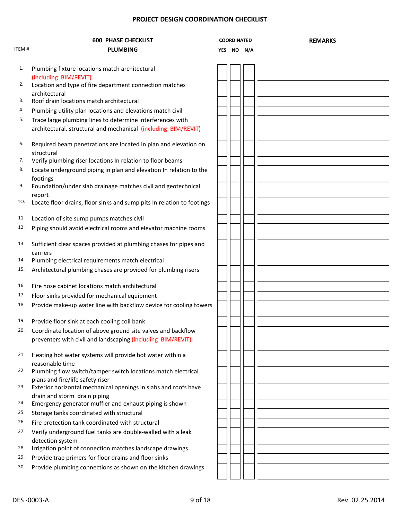|       | <b>600 PHASE CHECKLIST</b>                                                                                                   | <b>COORDINATED</b> |            | <b>REMARKS</b> |  |
|-------|------------------------------------------------------------------------------------------------------------------------------|--------------------|------------|----------------|--|
| ITEM# | <b>PLUMBING</b>                                                                                                              |                    | YES NO N/A |                |  |
|       |                                                                                                                              |                    |            |                |  |
| 1.    | Plumbing fixture locations match architectural<br>(including BIM/REVIT)                                                      |                    |            |                |  |
| 2.    | Location and type of fire department connection matches<br>architectural                                                     |                    |            |                |  |
| 3.    | Roof drain locations match architectural                                                                                     |                    |            |                |  |
| 4.    | Plumbing utility plan locations and elevations match civil                                                                   |                    |            |                |  |
| 5.    | Trace large plumbing lines to determine interferences with<br>architectural, structural and mechanical (including BIM/REVIT) |                    |            |                |  |
| 6.    | Required beam penetrations are located in plan and elevation on<br>structural                                                |                    |            |                |  |
| 7.    | Verify plumbing riser locations In relation to floor beams                                                                   |                    |            |                |  |
| 8.    | Locate underground piping in plan and elevation In relation to the<br>footings                                               |                    |            |                |  |
| 9.    | Foundation/under slab drainage matches civil and geotechnical<br>report                                                      |                    |            |                |  |
| 10.   | Locate floor drains, floor sinks and sump pits In relation to footings                                                       |                    |            |                |  |
| 11.   | Location of site sump pumps matches civil                                                                                    |                    |            |                |  |
| 12.   | Piping should avoid electrical rooms and elevator machine rooms                                                              |                    |            |                |  |
| 13.   | Sufficient clear spaces provided at plumbing chases for pipes and<br>carriers                                                |                    |            |                |  |
| 14.   | Plumbing electrical requirements match electrical                                                                            |                    |            |                |  |
| 15.   | Architectural plumbing chases are provided for plumbing risers                                                               |                    |            |                |  |
| 16.   | Fire hose cabinet locations match architectural                                                                              |                    |            |                |  |
| 17.   | Floor sinks provided for mechanical equipment                                                                                |                    |            |                |  |
| 18.   | Provide make-up water line with backflow device for cooling towers                                                           |                    |            |                |  |
| 19.   | Provide floor sink at each cooling coil bank                                                                                 |                    |            |                |  |
| 20.   | Coordinate location of above ground site valves and backflow<br>preventers with civil and landscaping (including BIM/REVIT)  |                    |            |                |  |
| 21.   | Heating hot water systems will provide hot water within a<br>reasonable time                                                 |                    |            |                |  |
| 22.   | Plumbing flow switch/tamper switch locations match electrical<br>plans and fire/life safety riser                            |                    |            |                |  |
| 23.   | Exterior horizontal mechanical openings in slabs and roofs have<br>drain and storm drain piping                              |                    |            |                |  |
| 24.   | Emergency generator muffler and exhaust piping is shown                                                                      |                    |            |                |  |
| 25.   | Storage tanks coordinated with structural                                                                                    |                    |            |                |  |
| 26.   | Fire protection tank coordinated with structural                                                                             |                    |            |                |  |
| 27.   | Verify underground fuel tanks are double-walled with a leak<br>detection system                                              |                    |            |                |  |
| 28.   | Irrigation point of connection matches landscape drawings                                                                    |                    |            |                |  |
| 29.   | Provide trap primers for floor drains and floor sinks                                                                        |                    |            |                |  |
| 30.   | Provide plumbing connections as shown on the kitchen drawings                                                                |                    |            |                |  |
|       |                                                                                                                              |                    |            |                |  |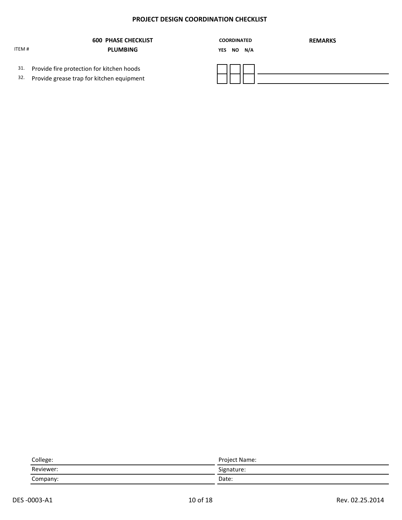|            | <b>600 PHASE CHECKLIST</b>                                                             | <b>COORDINATED</b><br><b>REMARKS</b> |
|------------|----------------------------------------------------------------------------------------|--------------------------------------|
| ITEM #     | <b>PLUMBING</b>                                                                        | YES NO N/A                           |
| 31.<br>32. | Provide fire protection for kitchen hoods<br>Provide grease trap for kitchen equipment |                                      |

| College:  | Project Name: |
|-----------|---------------|
| Reviewer: | Signature:    |
| Company:  | Date:         |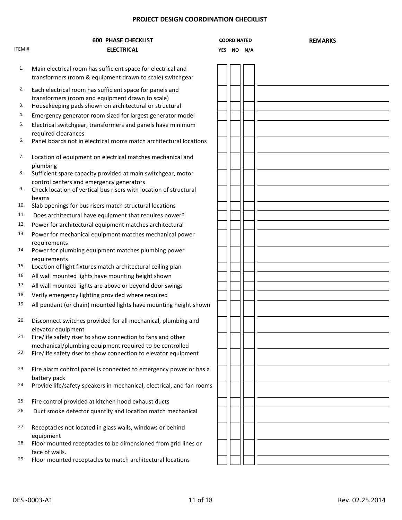|       | <b>600 PHASE CHECKLIST</b>                                                                                                | <b>COORDINATED</b> |  |            | <b>REMARKS</b> |
|-------|---------------------------------------------------------------------------------------------------------------------------|--------------------|--|------------|----------------|
| ITEM# | <b>ELECTRICAL</b>                                                                                                         |                    |  | YES NO N/A |                |
| 1.    | Main electrical room has sufficient space for electrical and<br>transformers (room & equipment drawn to scale) switchgear |                    |  |            |                |
| 2.    | Each electrical room has sufficient space for panels and<br>transformers (room and equipment drawn to scale)              |                    |  |            |                |
| 3.    | Housekeeping pads shown on architectural or structural                                                                    |                    |  |            |                |
| 4.    | Emergency generator room sized for largest generator model                                                                |                    |  |            |                |
| 5.    | Electrical switchgear, transformers and panels have minimum<br>required clearances                                        |                    |  |            |                |
| 6.    | Panel boards not in electrical rooms match architectural locations                                                        |                    |  |            |                |
| 7.    | Location of equipment on electrical matches mechanical and<br>plumbing                                                    |                    |  |            |                |
| 8.    | Sufficient spare capacity provided at main switchgear, motor                                                              |                    |  |            |                |
| 9.    | control centers and emergency generators<br>Check location of vertical bus risers with location of structural             |                    |  |            |                |
| 10.   | beams<br>Slab openings for bus risers match structural locations                                                          |                    |  |            |                |
| 11.   | Does architectural have equipment that requires power?                                                                    |                    |  |            |                |
| 12.   | Power for architectural equipment matches architectural                                                                   |                    |  |            |                |
| 13.   | Power for mechanical equipment matches mechanical power<br>requirements                                                   |                    |  |            |                |
| 14.   | Power for plumbing equipment matches plumbing power<br>requirements                                                       |                    |  |            |                |
| 15.   | Location of light fixtures match architectural ceiling plan                                                               |                    |  |            |                |
| 16.   | All wall mounted lights have mounting height shown                                                                        |                    |  |            |                |
| 17.   | All wall mounted lights are above or beyond door swings                                                                   |                    |  |            |                |
| 18.   | Verify emergency lighting provided where required                                                                         |                    |  |            |                |
| 19.   | All pendant (or chain) mounted lights have mounting height shown                                                          |                    |  |            |                |
| 20.   | Disconnect switches provided for all mechanical, plumbing and<br>elevator equipment                                       |                    |  |            |                |
| 21.   | Fire/life safety riser to show connection to fans and other<br>mechanical/plumbing equipment required to be controlled    |                    |  |            |                |
| 22.   | Fire/life safety riser to show connection to elevator equipment                                                           |                    |  |            |                |
| 23.   | Fire alarm control panel is connected to emergency power or has a<br>battery pack                                         |                    |  |            |                |
| 24.   | Provide life/safety speakers in mechanical, electrical, and fan rooms                                                     |                    |  |            |                |
| 25.   | Fire control provided at kitchen hood exhaust ducts                                                                       |                    |  |            |                |
| 26.   | Duct smoke detector quantity and location match mechanical                                                                |                    |  |            |                |
| 27.   | Receptacles not located in glass walls, windows or behind<br>equipment                                                    |                    |  |            |                |
| 28.   | Floor mounted receptacles to be dimensioned from grid lines or<br>face of walls.                                          |                    |  |            |                |
| 29.   | Floor mounted receptacles to match architectural locations                                                                |                    |  |            |                |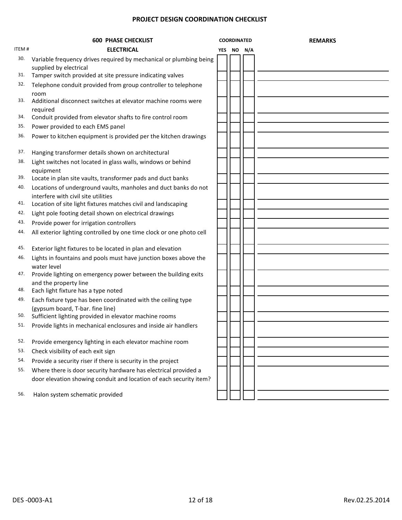|       | <b>600 PHASE CHECKLIST</b>                                                                             | <b>COORDINATED</b> |            |  | <b>REMARKS</b> |
|-------|--------------------------------------------------------------------------------------------------------|--------------------|------------|--|----------------|
| ITEM# | <b>ELECTRICAL</b>                                                                                      |                    | YES NO N/A |  |                |
| 30.   | Variable frequency drives required by mechanical or plumbing being<br>supplied by electrical           |                    |            |  |                |
| 31.   | Tamper switch provided at site pressure indicating valves                                              |                    |            |  |                |
| 32.   | Telephone conduit provided from group controller to telephone<br>room                                  |                    |            |  |                |
| 33.   | Additional disconnect switches at elevator machine rooms were<br>required                              |                    |            |  |                |
| 34.   | Conduit provided from elevator shafts to fire control room                                             |                    |            |  |                |
| 35.   | Power provided to each EMS panel                                                                       |                    |            |  |                |
| 36.   | Power to kitchen equipment is provided per the kitchen drawings                                        |                    |            |  |                |
| 37.   | Hanging transformer details shown on architectural                                                     |                    |            |  |                |
| 38.   | Light switches not located in glass walls, windows or behind<br>equipment                              |                    |            |  |                |
| 39.   | Locate in plan site vaults, transformer pads and duct banks                                            |                    |            |  |                |
| 40.   | Locations of underground vaults, manholes and duct banks do not<br>interfere with civil site utilities |                    |            |  |                |
| 41.   | Location of site light fixtures matches civil and landscaping                                          |                    |            |  |                |
| 42.   | Light pole footing detail shown on electrical drawings                                                 |                    |            |  |                |
| 43.   | Provide power for irrigation controllers                                                               |                    |            |  |                |
| 44.   | All exterior lighting controlled by one time clock or one photo cell                                   |                    |            |  |                |
| 45.   | Exterior light fixtures to be located in plan and elevation                                            |                    |            |  |                |
| 46.   | Lights in fountains and pools must have junction boxes above the<br>water level                        |                    |            |  |                |
| 47.   | Provide lighting on emergency power between the building exits<br>and the property line                |                    |            |  |                |
| 48.   | Each light fixture has a type noted                                                                    |                    |            |  |                |
| 49.   | Each fixture type has been coordinated with the ceiling type<br>(gypsum board, T-bar. fine line)       |                    |            |  |                |
| 50.   | Sufficient lighting provided in elevator machine rooms                                                 |                    |            |  |                |
| 51.   | Provide lights in mechanical enclosures and inside air handlers                                        |                    |            |  |                |
| 52.   | Provide emergency lighting in each elevator machine room                                               |                    |            |  |                |
| 53.   | Check visibility of each exit sign                                                                     |                    |            |  |                |
| 54.   | Provide a security riser if there is security in the project                                           |                    |            |  |                |
| 55.   | Where there is door security hardware has electrical provided a                                        |                    |            |  |                |
|       | door elevation showing conduit and location of each security item?                                     |                    |            |  |                |
| 56.   | Halon system schematic provided                                                                        |                    |            |  |                |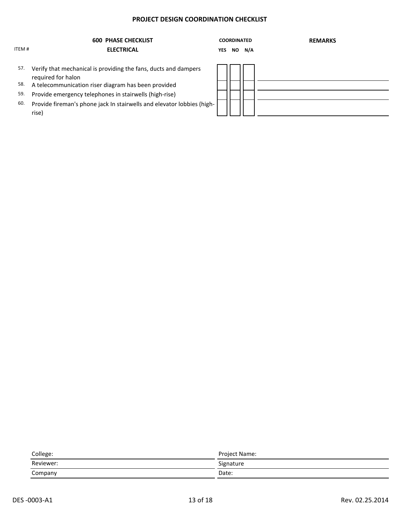|       | <b>600 PHASE CHECKLIST</b>                                                            |            | <b>COORDINATED</b> |        | <b>REMARKS</b> |
|-------|---------------------------------------------------------------------------------------|------------|--------------------|--------|----------------|
| ITEM# | <b>ELECTRICAL</b>                                                                     | <b>YES</b> |                    | NO N/A |                |
| 57.   | Verify that mechanical is providing the fans, ducts and dampers<br>required for halon |            |                    |        |                |
| 58.   | A telecommunication riser diagram has been provided                                   |            |                    |        |                |
| 59.   | Provide emergency telephones in stairwells (high-rise)                                |            |                    |        |                |
| 60.   | Provide fireman's phone jack In stairwells and elevator lobbies (high-<br>rise)       |            |                    |        |                |

| College:  | Project Name: |
|-----------|---------------|
| Reviewer: | Signature     |
| Company   | Date:         |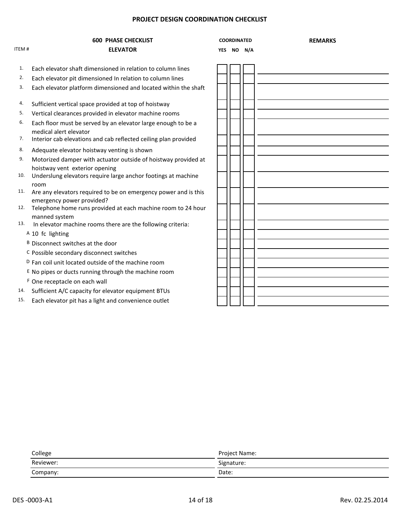# **600 PHASE CHECKLIST COORDINATED REMARKS**

**COORDINATED** 

#### ITEM # **ELEVATOR YES NO N/A**

- 1. Each elevator shaft dimensioned in relation to column lines
- 2. Each elevator pit dimensioned In relation to column lines
- 3. Each elevator platform dimensioned and located within the shaft
- 4. Sufficient vertical space provided at top of hoistway
- 5. Vertical clearances provided in elevator machine rooms
- 6. Each floor must be served by an elevator large enough to be a medical alert elevator
- 7. Interior cab elevations and cab reflected ceiling plan provided
- 8. Adequate elevator hoistway venting is shown
- 9. Motorized damper with actuator outside of hoistway provided at hoistway vent exterior opening
- 10. Underslung elevators require large anchor footings at machine room
- 11. Are any elevators required to be on emergency power and is this emergency power provided?
- 12. Telephone home runs provided at each machine room to 24 hour manned system
- 13. In elevator machine rooms there are the following criteria:
	- A 10 fc lighting
	- B Disconnect switches at the door
	- C Possible secondary disconnect switches
	- D Fan coil unit located outside of the machine room
	- $E$  No pipes or ducts running through the machine room
	- F One receptacle on each wall
- 14. Sufficient A/C capacity for elevator equipment BTUs
- 15. Each elevator pit has a light and convenience outlet

| College   | Project Name: |
|-----------|---------------|
| Reviewer: | Signature:    |
| Company:  | Date:         |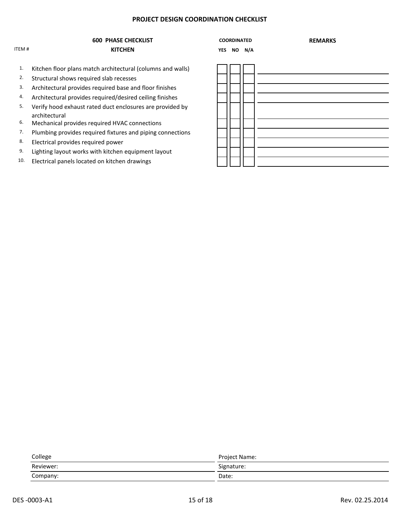### **600 PHASE CHECKLIST COORDINATED REMARKS** ITEM # **KITCHEN YES NO N/A**

#### **COORDINATED**

- 1. Kitchen floor plans match architectural (columns and walls)
- 2. Structural shows required slab recesses
- 3. Architectural provides required base and floor finishes
- 4. Architectural provides required/desired ceiling finishes
- 5. Verify hood exhaust rated duct enclosures are provided by architectural
- 6. Mechanical provides required HVAC connections
- 7. Plumbing provides required fixtures and piping connections
- 8. Electrical provides required power
- 9. Lighting layout works with kitchen equipment layout
- 10. Electrical panels located on kitchen drawings

| College   | Project Name: |
|-----------|---------------|
| Reviewer: | Signature:    |
| Company:  | Date:         |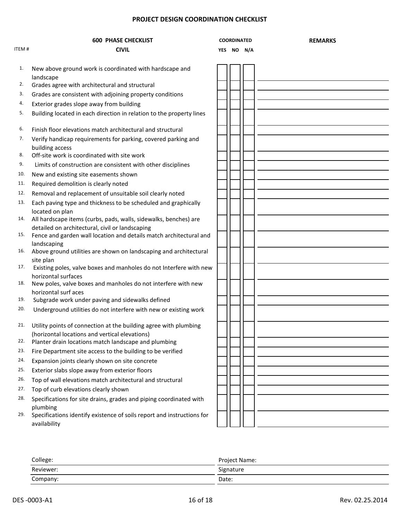|       | <b>600 PHASE CHECKLIST</b>                                                                                            | <b>COORDINATED</b> |  |            | <b>REMARKS</b> |
|-------|-----------------------------------------------------------------------------------------------------------------------|--------------------|--|------------|----------------|
| ITEM# | CIVIL                                                                                                                 |                    |  | YES NO N/A |                |
| 1.    | New above ground work is coordinated with hardscape and<br>landscape                                                  |                    |  |            |                |
| 2.    | Grades agree with architectural and structural                                                                        |                    |  |            |                |
| 3.    | Grades are consistent with adjoining property conditions                                                              |                    |  |            |                |
| 4.    | Exterior grades slope away from building                                                                              |                    |  |            |                |
| 5.    | Building located in each direction in relation to the property lines                                                  |                    |  |            |                |
| 6.    | Finish floor elevations match architectural and structural                                                            |                    |  |            |                |
| 7.    | Verify handicap requirements for parking, covered parking and<br>building access                                      |                    |  |            |                |
| 8.    | Off-site work is coordinated with site work                                                                           |                    |  |            |                |
| 9.    | Limits of construction are consistent with other disciplines                                                          |                    |  |            |                |
| 10.   | New and existing site easements shown                                                                                 |                    |  |            |                |
| 11.   | Required demolition is clearly noted                                                                                  |                    |  |            |                |
| 12.   | Removal and replacement of unsuitable soil clearly noted                                                              |                    |  |            |                |
| 13.   | Each paving type and thickness to be scheduled and graphically                                                        |                    |  |            |                |
|       | located on plan                                                                                                       |                    |  |            |                |
| 14.   | All hardscape items (curbs, pads, walls, sidewalks, benches) are                                                      |                    |  |            |                |
| 15.   | detailed on architectural, civil or landscaping<br>Fence and garden wall location and details match architectural and |                    |  |            |                |
|       | landscaping                                                                                                           |                    |  |            |                |
| 16.   | Above ground utilities are shown on landscaping and architectural                                                     |                    |  |            |                |
|       | site plan                                                                                                             |                    |  |            |                |
| 17.   | Existing poles, valve boxes and manholes do not Interfere with new<br>horizontal surfaces                             |                    |  |            |                |
| 18.   | New poles, valve boxes and manholes do not interfere with new                                                         |                    |  |            |                |
|       | horizontal surf aces                                                                                                  |                    |  |            |                |
| 19.   | Subgrade work under paving and sidewalks defined                                                                      |                    |  |            |                |
| 20.   | Underground utilities do not interfere with new or existing work                                                      |                    |  |            |                |
|       | 21. Utility points of connection at the building agree with plumbing                                                  |                    |  |            |                |
|       | (horizontal locations and vertical elevations)                                                                        |                    |  |            |                |
| 22.   | Planter drain locations match landscape and plumbing                                                                  |                    |  |            |                |
| 23.   | Fire Department site access to the building to be verified                                                            |                    |  |            |                |
| 24.   | Expansion joints clearly shown on site concrete                                                                       |                    |  |            |                |
| 25.   | Exterior slabs slope away from exterior floors                                                                        |                    |  |            |                |
| 26.   | Top of wall elevations match architectural and structural                                                             |                    |  |            |                |
| 27.   | Top of curb elevations clearly shown                                                                                  |                    |  |            |                |
| 28.   | Specifications for site drains, grades and piping coordinated with                                                    |                    |  |            |                |
| 29.   | plumbing<br>Specifications identify existence of soils report and instructions for<br>availability                    |                    |  |            |                |

| College:  | Project Name: |  |  |  |
|-----------|---------------|--|--|--|
| Reviewer: | Signature     |  |  |  |
| Company:  | Date:         |  |  |  |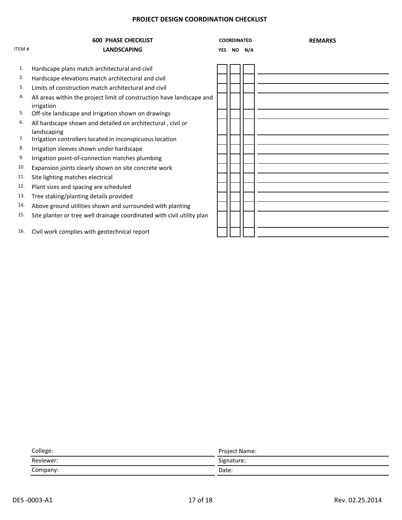| <b>ITEM#</b> | <b>600 PHASE CHECKLIST</b><br><b>LANDSCAPING</b>                                    | <b>YES</b> | <b>COORDINATED</b> | NO N/A | <b>REMARKS</b> |
|--------------|-------------------------------------------------------------------------------------|------------|--------------------|--------|----------------|
| 1.           | Hardscape plans match architectural and civil                                       |            |                    |        |                |
| 2.           | Hardscape elevations match architectural and civil                                  |            |                    |        |                |
| 3.           | Limits of construction match architectural and civil                                |            |                    |        |                |
|              |                                                                                     |            |                    |        |                |
| 4.           | All areas within the project limit of construction have landscape and<br>irrigation |            |                    |        |                |
| 5.           | Off-site landscape and Irrigation shown on drawings                                 |            |                    |        |                |
| 6.           | All hardscape shown and detailed on architectural, civil or                         |            |                    |        |                |
|              | landscaping                                                                         |            |                    |        |                |
| 7.           | Irrigation controllers located in inconspicuous location                            |            |                    |        |                |
| 8.           | Irrigation sleeves shown under hardscape                                            |            |                    |        |                |
| 9.           | Irrigation point-of-connection matches plumbing                                     |            |                    |        |                |
| 10.          | Expansion joints clearly shown on site concrete work                                |            |                    |        |                |
| 11.          | Site lighting matches electrical                                                    |            |                    |        |                |
| 12.          | Plant sizes and spacing are scheduled                                               |            |                    |        |                |
| 13.          | Tree staking/planting details provided                                              |            |                    |        |                |
| 14.          | Above ground utilities shown and surrounded with planting                           |            |                    |        |                |
| 15.          | Site planter or tree well drainage coordinated with civil utility plan              |            |                    |        |                |
| 16.          | Civil work complies with geotechnical report                                        |            |                    |        |                |

| College:  | Project Name: |
|-----------|---------------|
| Reviewer: | Signature:    |
| Company:  | Date:         |